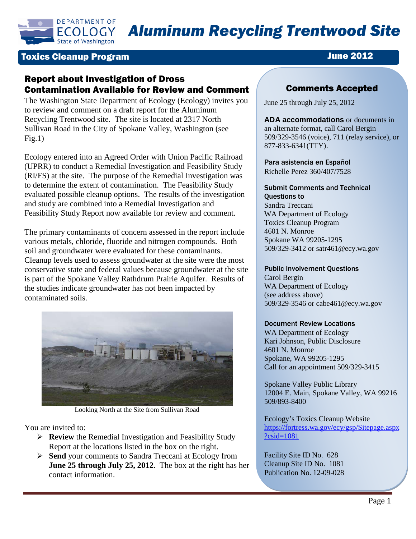

## Toxics Cleanup Program June 2012

# Report about Investigation of Dross Contamination Available for Review and Comment

The Washington State Department of Ecology (Ecology) invites you to review and comment on a draft report for the Aluminum Recycling Trentwood site. The site is located at 2317 North Sullivan Road in the City of Spokane Valley, Washington (see  $Fig.1)$ 

Ecology entered into an Agreed Order with Union Pacific Railroad (UPRR) to conduct a Remedial Investigation and Feasibility Study (RI/FS) at the site. The purpose of the Remedial Investigation was to determine the extent of contamination. The Feasibility Study evaluated possible cleanup options. The results of the investigation and study are combined into a Remedial Investigation and Feasibility Study Report now available for review and comment.

The primary contaminants of concern assessed in the report include various metals, chloride, fluoride and nitrogen compounds. Both soil and groundwater were evaluated for these contaminants. Cleanup levels used to assess groundwater at the site were the most conservative state and federal values because groundwater at the site is part of the Spokane Valley Rathdrum Prairie Aquifer. Results of the studies indicate groundwater has not been impacted by contaminated soils.



Looking North at the Site from Sullivan Road

You are invited to:

- **Review** the Remedial Investigation and Feasibility Study Report at the locations listed in the box on the right.
- **Send** your comments to Sandra Treccani at Ecology from **June 25 through July 25, 2012**. The box at the right has her contact information.

# Comments Accepted

June 25 through July 25, 2012

**ADA accommodations** or documents in an alternate format, call Carol Bergin 509/329-3546 (voice), 711 (relay service), or 877-833-6341(TTY).

Para asistencia en Español Richelle Perez 360/407/7528

#### Submit Comments and Technical Questions to

Sandra Treccani WA Department of Ecology Toxics Cleanup Program 4601 N. Monroe Spokane WA 99205-1295 509/329-3412 or satr461@ecy.wa.gov

#### Public Involvement Questions

Carol Bergin WA Department of Ecology (see address above) 509/329-3546 or cabe461@ecy.wa.gov

### Document Review Locations

WA Department of Ecology Kari Johnson, Public Disclosure 4601 N. Monroe Spokane, WA 99205-1295 Call for an appointment 509/329-3415

Spokane Valley Public Library 12004 E. Main, Spokane Valley, WA 99216 509/893-8400

Ecology's Toxics Cleanup Website [https://fortress.wa.gov/ecy/gsp/Sitepage.aspx](https://fortress.wa.gov/ecy/gsp/Sitepage.aspx?csid=1081) [?csid=1081](https://fortress.wa.gov/ecy/gsp/Sitepage.aspx?csid=1081)

Facility Site ID No. 628 Cleanup Site ID No. 1081 Publication No. 12-09-028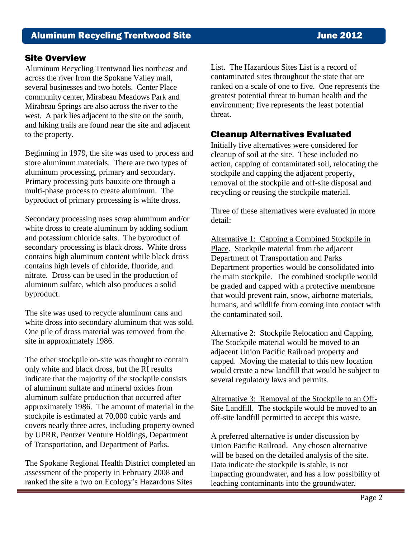Aluminum Recycling Trentwood lies northeast and across the river from the Spokane Valley mall, several businesses and two hotels. Center Place community center, Mirabeau Meadows Park and Mirabeau Springs are also across the river to the west. A park lies adjacent to the site on the south, and hiking trails are found near the site and adjacent to the property.

Beginning in 1979, the site was used to process and store aluminum materials. There are two types of aluminum processing, primary and secondary. Primary processing puts bauxite ore through a multi-phase process to create aluminum. The byproduct of primary processing is white dross.

Secondary processing uses scrap aluminum and/or white dross to create aluminum by adding sodium and potassium chloride salts. The byproduct of secondary processing is black dross. White dross contains high aluminum content while black dross contains high levels of chloride, fluoride, and nitrate. Dross can be used in the production of aluminum sulfate, which also produces a solid byproduct.

The site was used to recycle aluminum cans and white dross into secondary aluminum that was sold. One pile of dross material was removed from the site in approximately 1986.

The other stockpile on-site was thought to contain only white and black dross, but the RI results indicate that the majority of the stockpile consists of aluminum sulfate and mineral oxides from aluminum sulfate production that occurred after approximately 1986. The amount of material in the stockpile is estimated at 70,000 cubic yards and covers nearly three acres, including property owned by UPRR, Pentzer Venture Holdings, Department of Transportation, and Department of Parks.

The Spokane Regional Health District completed an assessment of the property in February 2008 and ranked the site a two on Ecology's Hazardous Sites

Site Overview<br>Aluminum Recycling Trentwood lies northeast and <br>List. The Hazardous Sites List is a record of contaminated sites throughout the state that are ranked on a scale of one to five. One represents the greatest potential threat to human health and the environment; five represents the least potential threat.

# Cleanup Alternatives Evaluated

Initially five alternatives were considered for cleanup of soil at the site. These included no action, capping of contaminated soil, relocating the stockpile and capping the adjacent property, removal of the stockpile and off-site disposal and recycling or reusing the stockpile material.

Three of these alternatives were evaluated in more detail:

Alternative 1: Capping a Combined Stockpile in Place. Stockpile material from the adjacent Department of Transportation and Parks Department properties would be consolidated into the main stockpile. The combined stockpile would be graded and capped with a protective membrane that would prevent rain, snow, airborne materials, humans, and wildlife from coming into contact with the contaminated soil.

Alternative 2: Stockpile Relocation and Capping. The Stockpile material would be moved to an adjacent Union Pacific Railroad property and capped. Moving the material to this new location would create a new landfill that would be subject to several regulatory laws and permits.

Alternative 3: Removal of the Stockpile to an Off-Site Landfill. The stockpile would be moved to an off-site landfill permitted to accept this waste.

A preferred alternative is under discussion by Union Pacific Railroad. Any chosen alternative will be based on the detailed analysis of the site. Data indicate the stockpile is stable, is not impacting groundwater, and has a low possibility of leaching contaminants into the groundwater.